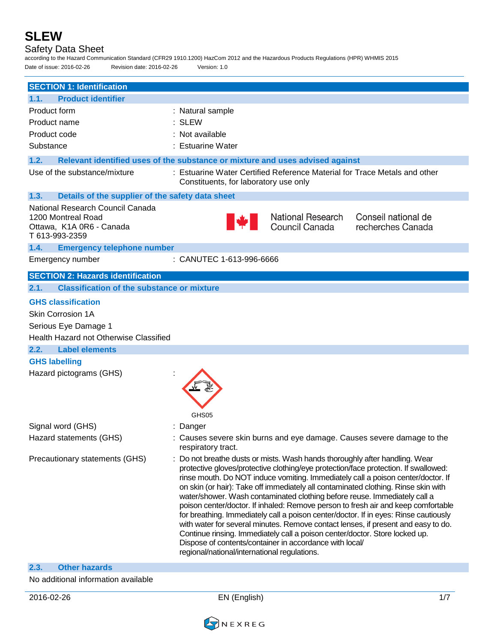**SLEW** Safety Data Sheet according to the Hazard Communication Standard (CFR29 1910.1200) HazCom 2012 and the Hazardous Products Regulations (HPR) WHMIS 2015 Date of issue: 2016-02-26 Revision date: 2016-02-26 Version: 1.0 **SECTION 1: Identification 1.1. Product identifier** Product form : Natural sample Product name : SLEW Product code : Not available Substance : Estuarine Water **1.2. Relevant identified uses of the substance or mixture and uses advised against** Use of the substance/mixture : Estuarine Water Certified Reference Material for Trace Metals and other Constituents, for laboratory use only **1.3. Details of the supplier of the safety data sheet** National Research Council Canada National Research Conseil national de 1200 Montreal Road Council Canada recherches Canada Ottawa, K1A 0R6 - Canada T 613-993-2359 **1.4. Emergency telephone number** Emergency number : CANUTEC 1-613-996-6666 **SECTION 2: Hazards identification 2.1. Classification of the substance or mixture GHS classification** Skin Corrosion 1A Serious Eye Damage 1 Health Hazard not Otherwise Classified **2.2. Label elements GHS labelling** Hazard pictograms (GHS) : GHS<sub>05</sub> Signal word (GHS) : Danger Hazard statements (GHS) : Causes severe skin burns and eye damage. Causes severe damage to the respiratory tract. Precautionary statements (GHS) : Do not breathe dusts or mists. Wash hands thoroughly after handling. Wear protective gloves/protective clothing/eye protection/face protection. If swallowed: rinse mouth. Do NOT induce vomiting. Immediately call a poison center/doctor. If on skin (or hair): Take off immediately all contaminated clothing. Rinse skin with

**2.3. Other hazards**

No additional information available

2016-02-26 EN (English) 1/7

regional/national/international regulations.

Dispose of contents/container in accordance with local/

water/shower. Wash contaminated clothing before reuse. Immediately call a poison center/doctor. If inhaled: Remove person to fresh air and keep comfortable for breathing. Immediately call a poison center/doctor. If in eyes: Rinse cautiously with water for several minutes. Remove contact lenses, if present and easy to do. Continue rinsing. Immediately call a poison center/doctor. Store locked up.

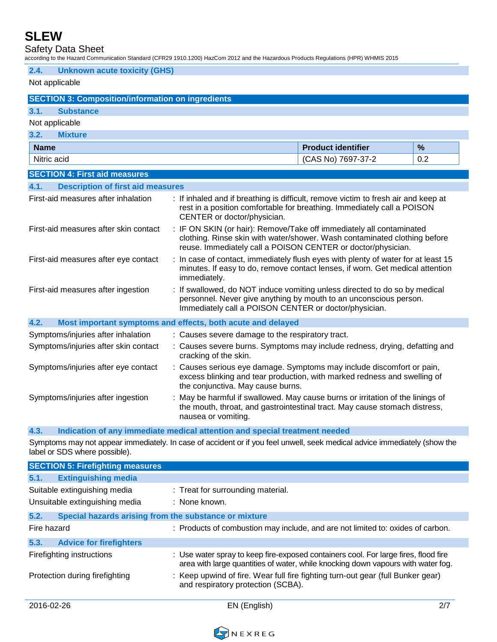Safety Data Sheet

according to the Hazard Communication Standard (CFR29 1910.1200) HazCom 2012 and the Hazardous Products Regulations (HPR) WHMIS 2015

| 2.4.                                                                                                                                                                                                                                                       | <b>Unknown acute toxicity (GHS)</b>                                                                                                                                                                                                 |                                                             |                                                                                                                                                                                                          |     |
|------------------------------------------------------------------------------------------------------------------------------------------------------------------------------------------------------------------------------------------------------------|-------------------------------------------------------------------------------------------------------------------------------------------------------------------------------------------------------------------------------------|-------------------------------------------------------------|----------------------------------------------------------------------------------------------------------------------------------------------------------------------------------------------------------|-----|
| Not applicable                                                                                                                                                                                                                                             |                                                                                                                                                                                                                                     |                                                             |                                                                                                                                                                                                          |     |
|                                                                                                                                                                                                                                                            | <b>SECTION 3: Composition/information on ingredients</b>                                                                                                                                                                            |                                                             |                                                                                                                                                                                                          |     |
| 3.1.                                                                                                                                                                                                                                                       | <b>Substance</b>                                                                                                                                                                                                                    |                                                             |                                                                                                                                                                                                          |     |
|                                                                                                                                                                                                                                                            | Not applicable                                                                                                                                                                                                                      |                                                             |                                                                                                                                                                                                          |     |
| 3.2.                                                                                                                                                                                                                                                       | <b>Mixture</b>                                                                                                                                                                                                                      |                                                             |                                                                                                                                                                                                          |     |
| <b>Name</b>                                                                                                                                                                                                                                                |                                                                                                                                                                                                                                     |                                                             | <b>Product identifier</b>                                                                                                                                                                                | %   |
| Nitric acid                                                                                                                                                                                                                                                |                                                                                                                                                                                                                                     |                                                             | (CAS No) 7697-37-2                                                                                                                                                                                       | 0.2 |
|                                                                                                                                                                                                                                                            | <b>SECTION 4: First aid measures</b>                                                                                                                                                                                                |                                                             |                                                                                                                                                                                                          |     |
| 4.1.                                                                                                                                                                                                                                                       | <b>Description of first aid measures</b>                                                                                                                                                                                            |                                                             |                                                                                                                                                                                                          |     |
|                                                                                                                                                                                                                                                            | First-aid measures after inhalation<br>: If inhaled and if breathing is difficult, remove victim to fresh air and keep at<br>rest in a position comfortable for breathing. Immediately call a POISON<br>CENTER or doctor/physician. |                                                             |                                                                                                                                                                                                          |     |
| : IF ON SKIN (or hair): Remove/Take off immediately all contaminated<br>First-aid measures after skin contact<br>clothing. Rinse skin with water/shower. Wash contaminated clothing before<br>reuse. Immediately call a POISON CENTER or doctor/physician. |                                                                                                                                                                                                                                     |                                                             |                                                                                                                                                                                                          |     |
|                                                                                                                                                                                                                                                            | : In case of contact, immediately flush eyes with plenty of water for at least 15<br>First-aid measures after eye contact<br>minutes. If easy to do, remove contact lenses, if worn. Get medical attention<br>immediately.          |                                                             |                                                                                                                                                                                                          |     |
| First-aid measures after ingestion                                                                                                                                                                                                                         |                                                                                                                                                                                                                                     |                                                             | : If swallowed, do NOT induce vomiting unless directed to do so by medical<br>personnel. Never give anything by mouth to an unconscious person.<br>Immediately call a POISON CENTER or doctor/physician. |     |
| 4.2.                                                                                                                                                                                                                                                       |                                                                                                                                                                                                                                     | Most important symptoms and effects, both acute and delayed |                                                                                                                                                                                                          |     |
|                                                                                                                                                                                                                                                            | Symptoms/injuries after inhalation                                                                                                                                                                                                  | : Causes severe damage to the respiratory tract.            |                                                                                                                                                                                                          |     |
|                                                                                                                                                                                                                                                            | : Causes severe burns. Symptoms may include redness, drying, defatting and<br>Symptoms/injuries after skin contact<br>cracking of the skin.                                                                                         |                                                             |                                                                                                                                                                                                          |     |
|                                                                                                                                                                                                                                                            | Symptoms/injuries after eye contact<br>: Causes serious eye damage. Symptoms may include discomfort or pain,<br>excess blinking and tear production, with marked redness and swelling of<br>the conjunctiva. May cause burns.       |                                                             |                                                                                                                                                                                                          |     |
|                                                                                                                                                                                                                                                            | : May be harmful if swallowed. May cause burns or irritation of the linings of<br>Symptoms/injuries after ingestion<br>the mouth, throat, and gastrointestinal tract. May cause stomach distress,<br>nausea or vomiting.            |                                                             |                                                                                                                                                                                                          |     |
|                                                                                                                                                                                                                                                            |                                                                                                                                                                                                                                     |                                                             |                                                                                                                                                                                                          |     |

**4.3. Indication of any immediate medical attention and special treatment needed**

Symptoms may not appear immediately. In case of accident or if you feel unwell, seek medical advice immediately (show the label or SDS where possible).

| <b>SECTION 5: Firefighting measures</b>                        |                                                                                                                                                                         |     |
|----------------------------------------------------------------|-------------------------------------------------------------------------------------------------------------------------------------------------------------------------|-----|
| <b>Extinguishing media</b><br>5.1.                             |                                                                                                                                                                         |     |
| Suitable extinguishing media<br>Unsuitable extinguishing media | : Treat for surrounding material.<br>: None known.                                                                                                                      |     |
| Special hazards arising from the substance or mixture<br>5.2.  |                                                                                                                                                                         |     |
| Fire hazard                                                    | : Products of combustion may include, and are not limited to: oxides of carbon.                                                                                         |     |
| 5.3.<br><b>Advice for firefighters</b>                         |                                                                                                                                                                         |     |
| Firefighting instructions                                      | : Use water spray to keep fire-exposed containers cool. For large fires, flood fire<br>area with large quantities of water, while knocking down vapours with water fog. |     |
| Protection during firefighting                                 | : Keep upwind of fire. Wear full fire fighting turn-out gear (full Bunker gear)<br>and respiratory protection (SCBA).                                                   |     |
| 2016-02-26                                                     | EN (English)                                                                                                                                                            | 2/7 |

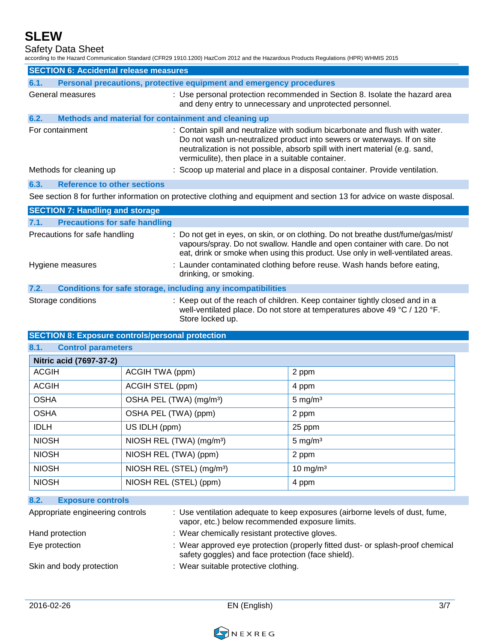Safety Data Sheet

according to the Hazard Communication Standard (CFR29 1910.1200) HazCom 2012 and the Hazardous Products Regulations (HPR) WHMIS 2015

|      | <b>SECTION 6: Accidental release measures</b>                       |                                                                                                                                                                                                                                                                                              |
|------|---------------------------------------------------------------------|----------------------------------------------------------------------------------------------------------------------------------------------------------------------------------------------------------------------------------------------------------------------------------------------|
| 6.1. |                                                                     | Personal precautions, protective equipment and emergency procedures                                                                                                                                                                                                                          |
|      | General measures                                                    | : Use personal protection recommended in Section 8. Isolate the hazard area<br>and deny entry to unnecessary and unprotected personnel.                                                                                                                                                      |
| 6.2. | Methods and material for containment and cleaning up                |                                                                                                                                                                                                                                                                                              |
|      | For containment                                                     | : Contain spill and neutralize with sodium bicarbonate and flush with water.<br>Do not wash un-neutralized product into sewers or waterways. If on site<br>neutralization is not possible, absorb spill with inert material (e.g. sand,<br>vermiculite), then place in a suitable container. |
|      | Methods for cleaning up                                             | : Scoop up material and place in a disposal container. Provide ventilation.                                                                                                                                                                                                                  |
| 6.3. | <b>Reference to other sections</b>                                  |                                                                                                                                                                                                                                                                                              |
|      |                                                                     | See section 8 for further information on protective clothing and equipment and section 13 for advice on waste disposal.                                                                                                                                                                      |
|      | <b>SECTION 7: Handling and storage</b>                              |                                                                                                                                                                                                                                                                                              |
| 7.1. | <b>Precautions for safe handling</b>                                |                                                                                                                                                                                                                                                                                              |
|      | Precautions for safe handling                                       | : Do not get in eyes, on skin, or on clothing. Do not breathe dust/fume/gas/mist/<br>vapours/spray. Do not swallow. Handle and open container with care. Do not<br>eat, drink or smoke when using this product. Use only in well-ventilated areas.                                           |
|      | Hygiene measures                                                    | : Launder contaminated clothing before reuse. Wash hands before eating,<br>drinking, or smoking.                                                                                                                                                                                             |
| 7.2. | <b>Conditions for safe storage, including any incompatibilities</b> |                                                                                                                                                                                                                                                                                              |

Storage conditions : Keep out of the reach of children. Keep container tightly closed and in a well-ventilated place. Do not store at temperatures above 49 °C / 120 °F. Store locked up.

#### **SECTION 8: Exposure controls/personal protection**

**8.1. Control parameters**

| Nitric acid (7697-37-2) |                                       |                      |
|-------------------------|---------------------------------------|----------------------|
| <b>ACGIH</b>            | ACGIH TWA (ppm)                       | 2 ppm                |
| <b>ACGIH</b>            | ACGIH STEL (ppm)                      | 4 ppm                |
| <b>OSHA</b>             | OSHA PEL (TWA) (mg/m <sup>3</sup> )   | $5 \text{ mg/m}^3$   |
| <b>OSHA</b>             | OSHA PEL (TWA) (ppm)                  | 2 ppm                |
| <b>IDLH</b>             | US IDLH (ppm)                         | 25 ppm               |
| <b>NIOSH</b>            | NIOSH REL (TWA) (mg/m <sup>3</sup> )  | $5 \text{ mg/m}^3$   |
| <b>NIOSH</b>            | NIOSH REL (TWA) (ppm)                 | 2 ppm                |
| <b>NIOSH</b>            | NIOSH REL (STEL) (mg/m <sup>3</sup> ) | 10 mg/m <sup>3</sup> |
| <b>NIOSH</b>            | NIOSH REL (STEL) (ppm)                | 4 ppm                |

#### **8.2. Exposure controls**

| Appropriate engineering controls | : Use ventilation adequate to keep exposures (airborne levels of dust, fume,<br>vapor, etc.) below recommended exposure limits.      |
|----------------------------------|--------------------------------------------------------------------------------------------------------------------------------------|
| Hand protection                  | : Wear chemically resistant protective gloves.                                                                                       |
| Eye protection                   | : Wear approved eye protection (properly fitted dust- or splash-proof chemical<br>safety goggles) and face protection (face shield). |
| Skin and body protection         | : Wear suitable protective clothing.                                                                                                 |

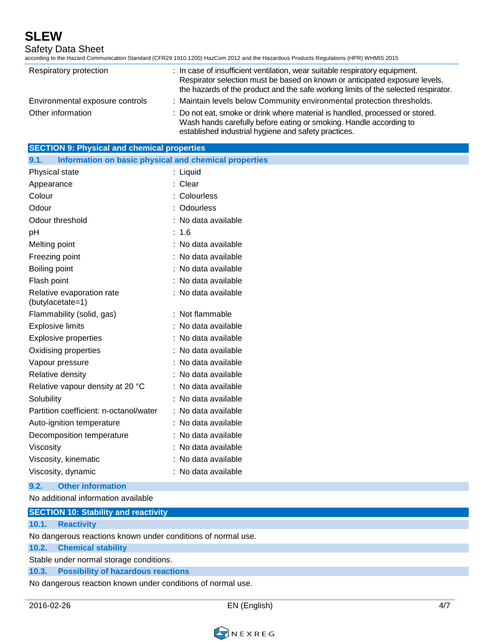Safety Data Sheet

according to the Hazard Communication Standard (CFR29 1910.1200) HazCom 2012 and the Hazardous Products Regulations (HPR) WHMIS 2015

| Respiratory protection          | : In case of insufficient ventilation, wear suitable respiratory equipment.<br>Respirator selection must be based on known or anticipated exposure levels,<br>the hazards of the product and the safe working limits of the selected respirator. |
|---------------------------------|--------------------------------------------------------------------------------------------------------------------------------------------------------------------------------------------------------------------------------------------------|
| Environmental exposure controls | : Maintain levels below Community environmental protection thresholds.                                                                                                                                                                           |
| Other information               | : Do not eat, smoke or drink where material is handled, processed or stored.<br>Wash hands carefully before eating or smoking. Handle according to<br>established industrial hygiene and safety practices.                                       |

| <b>SECTION 9: Physical and chemical properties</b>            |                     |  |  |
|---------------------------------------------------------------|---------------------|--|--|
| Information on basic physical and chemical properties<br>9.1. |                     |  |  |
| Physical state                                                | : Liquid            |  |  |
| Appearance                                                    | : Clear             |  |  |
| Colour                                                        | : Colourless        |  |  |
| Odour                                                         | : Odourless         |  |  |
| Odour threshold                                               | : No data available |  |  |
| pH                                                            | : 1.6               |  |  |
| Melting point                                                 | : No data available |  |  |
| Freezing point                                                | : No data available |  |  |
| Boiling point                                                 | : No data available |  |  |
| Flash point                                                   | : No data available |  |  |
| Relative evaporation rate<br>(butylacetate=1)                 | : No data available |  |  |
| Flammability (solid, gas)                                     | : Not flammable     |  |  |
| <b>Explosive limits</b>                                       | : No data available |  |  |
| <b>Explosive properties</b>                                   | : No data available |  |  |
| Oxidising properties                                          | : No data available |  |  |
| Vapour pressure                                               | : No data available |  |  |
| Relative density                                              | : No data available |  |  |
| Relative vapour density at 20 °C                              | : No data available |  |  |
| Solubility                                                    | : No data available |  |  |
| Partition coefficient: n-octanol/water                        | : No data available |  |  |
| Auto-ignition temperature                                     | : No data available |  |  |
| Decomposition temperature                                     | : No data available |  |  |
| Viscosity                                                     | : No data available |  |  |
| Viscosity, kinematic                                          | : No data available |  |  |
| Viscosity, dynamic                                            | : No data available |  |  |

**9.2. Other information**

No additional information available

|                                                              | <b>SECTION 10: Stability and reactivity</b> |  |  |
|--------------------------------------------------------------|---------------------------------------------|--|--|
|                                                              | 10.1. Reactivity                            |  |  |
| No dangerous reactions known under conditions of normal use. |                                             |  |  |
|                                                              | 10.2. Chemical stability                    |  |  |
| Stable under normal storage conditions.                      |                                             |  |  |
|                                                              | 10.3. Possibility of hazardous reactions    |  |  |
| No dangerous reaction known under conditions of normal use.  |                                             |  |  |

2016-02-26 EN (English) 4/7

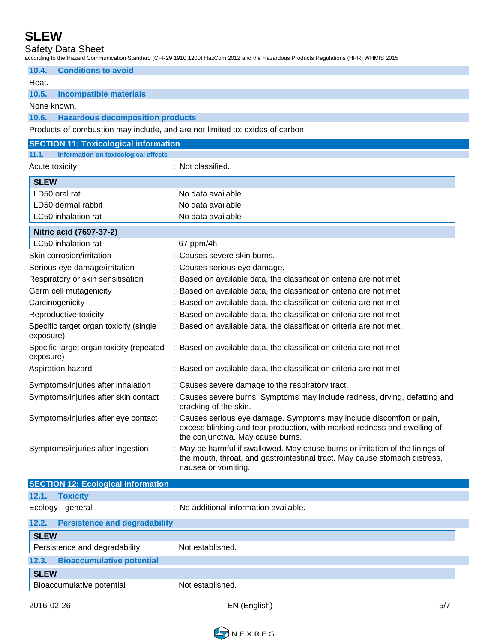Safety Data Sheet

according to the Hazard Communication Standard (CFR29 1910.1200) HazCom 2012 and the Hazardous Products Regulations (HPR) WHMIS 2015

|                                                                               | according to the Hazard Communication Standard (CFN29-T9T0.T200) HazComi 2012 and the Hazardous Froudcis Negulations (HFN) WHiMiS 2013                                                 |
|-------------------------------------------------------------------------------|----------------------------------------------------------------------------------------------------------------------------------------------------------------------------------------|
| 10.4.<br><b>Conditions to avoid</b>                                           |                                                                                                                                                                                        |
| Heat.                                                                         |                                                                                                                                                                                        |
| 10.5.<br><b>Incompatible materials</b>                                        |                                                                                                                                                                                        |
| None known.                                                                   |                                                                                                                                                                                        |
| 10.6.<br><b>Hazardous decomposition products</b>                              |                                                                                                                                                                                        |
| Products of combustion may include, and are not limited to: oxides of carbon. |                                                                                                                                                                                        |
| <b>SECTION 11: Toxicological information</b>                                  |                                                                                                                                                                                        |
| 11.1.<br><b>Information on toxicological effects</b>                          |                                                                                                                                                                                        |
| Acute toxicity                                                                | : Not classified.                                                                                                                                                                      |
| <b>SLEW</b>                                                                   |                                                                                                                                                                                        |
| LD50 oral rat                                                                 | No data available                                                                                                                                                                      |
| LD50 dermal rabbit                                                            | No data available                                                                                                                                                                      |
| LC50 inhalation rat                                                           | No data available                                                                                                                                                                      |
| Nitric acid (7697-37-2)                                                       |                                                                                                                                                                                        |
| LC50 inhalation rat                                                           | 67 ppm/4h                                                                                                                                                                              |
| Skin corrosion/irritation                                                     | : Causes severe skin burns.                                                                                                                                                            |
| Serious eye damage/irritation                                                 | : Causes serious eye damage.                                                                                                                                                           |
| Respiratory or skin sensitisation                                             | : Based on available data, the classification criteria are not met.                                                                                                                    |
| Germ cell mutagenicity                                                        | : Based on available data, the classification criteria are not met.                                                                                                                    |
| Carcinogenicity                                                               | Based on available data, the classification criteria are not met.                                                                                                                      |
| Reproductive toxicity                                                         | Based on available data, the classification criteria are not met.                                                                                                                      |
| Specific target organ toxicity (single<br>exposure)                           | : Based on available data, the classification criteria are not met.                                                                                                                    |
| Specific target organ toxicity (repeated<br>exposure)                         | : Based on available data, the classification criteria are not met.                                                                                                                    |
| Aspiration hazard                                                             | : Based on available data, the classification criteria are not met.                                                                                                                    |
| Symptoms/injuries after inhalation                                            | : Causes severe damage to the respiratory tract.                                                                                                                                       |
| Symptoms/injuries after skin contact                                          | : Causes severe burns. Symptoms may include redness, drying, defatting and<br>cracking of the skin.                                                                                    |
| Symptoms/injuries after eye contact                                           | : Causes serious eye damage. Symptoms may include discomfort or pain,<br>excess blinking and tear production, with marked redness and swelling of<br>the conjunctiva. May cause burns. |
| Symptoms/injuries after ingestion                                             | : May be harmful if swallowed. May cause burns or irritation of the linings of<br>the mouth, throat, and gastrointestinal tract. May cause stomach distress,<br>nausea or vomiting.    |

| <b>SECTION 12: Ecological information</b>     |                                        |  |
|-----------------------------------------------|----------------------------------------|--|
| 12.1.<br><b>Toxicity</b>                      |                                        |  |
| Ecology - general                             | : No additional information available. |  |
| <b>Persistence and degradability</b><br>12.2. |                                        |  |
| <b>SLEW</b>                                   |                                        |  |
| Persistence and degradability                 | Not established.                       |  |
| <b>Bioaccumulative potential</b><br>12.3.     |                                        |  |
| <b>SLEW</b>                                   |                                        |  |
| Bioaccumulative potential                     | Not established.                       |  |
|                                               |                                        |  |

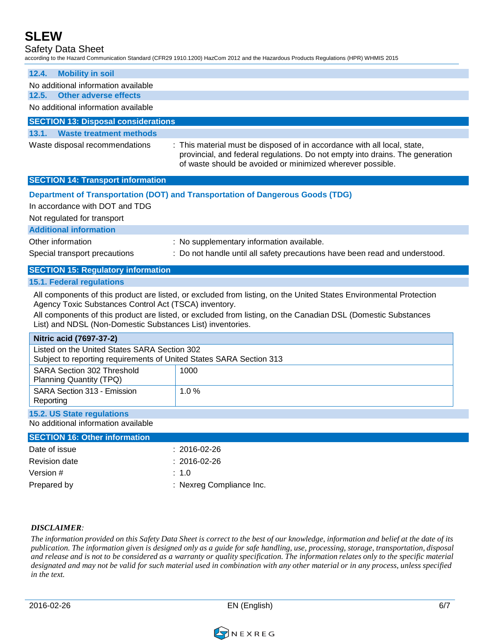Safety Data Sheet

|                                                                                                                     | according to the Hazard Communication Standard (CFR29 1910.1200) HazCom 2012 and the Hazardous Products Regulations (HPR) WHMIS 2015                                                                                                |  |  |  |
|---------------------------------------------------------------------------------------------------------------------|-------------------------------------------------------------------------------------------------------------------------------------------------------------------------------------------------------------------------------------|--|--|--|
| <b>Mobility in soil</b><br>12.4.                                                                                    |                                                                                                                                                                                                                                     |  |  |  |
| No additional information available                                                                                 |                                                                                                                                                                                                                                     |  |  |  |
| <b>Other adverse effects</b><br>12.5.                                                                               |                                                                                                                                                                                                                                     |  |  |  |
| No additional information available                                                                                 |                                                                                                                                                                                                                                     |  |  |  |
| <b>SECTION 13: Disposal considerations</b>                                                                          |                                                                                                                                                                                                                                     |  |  |  |
| 13.1.<br><b>Waste treatment methods</b>                                                                             |                                                                                                                                                                                                                                     |  |  |  |
| Waste disposal recommendations                                                                                      | : This material must be disposed of in accordance with all local, state,<br>provincial, and federal regulations. Do not empty into drains. The generation<br>of waste should be avoided or minimized wherever possible.             |  |  |  |
| <b>SECTION 14: Transport information</b>                                                                            |                                                                                                                                                                                                                                     |  |  |  |
| In accordance with DOT and TDG<br>Not regulated for transport                                                       | Department of Transportation (DOT) and Transportation of Dangerous Goods (TDG)                                                                                                                                                      |  |  |  |
| <b>Additional information</b>                                                                                       |                                                                                                                                                                                                                                     |  |  |  |
| Other information                                                                                                   | : No supplementary information available.                                                                                                                                                                                           |  |  |  |
| Special transport precautions                                                                                       | : Do not handle until all safety precautions have been read and understood.                                                                                                                                                         |  |  |  |
| <b>SECTION 15: Regulatory information</b>                                                                           |                                                                                                                                                                                                                                     |  |  |  |
|                                                                                                                     |                                                                                                                                                                                                                                     |  |  |  |
| <b>15.1. Federal regulations</b>                                                                                    |                                                                                                                                                                                                                                     |  |  |  |
| Agency Toxic Substances Control Act (TSCA) inventory.<br>List) and NDSL (Non-Domestic Substances List) inventories. | All components of this product are listed, or excluded from listing, on the United States Environmental Protection<br>All components of this product are listed, or excluded from listing, on the Canadian DSL (Domestic Substances |  |  |  |
| Nitric acid (7697-37-2)                                                                                             |                                                                                                                                                                                                                                     |  |  |  |
| Listed on the United States SARA Section 302<br>Subject to reporting requirements of United States SARA Section 313 |                                                                                                                                                                                                                                     |  |  |  |
| <b>SARA Section 302 Threshold</b><br>Planning Quantity (TPQ)                                                        | 1000                                                                                                                                                                                                                                |  |  |  |
| SARA Section 313 - Emission<br>Reporting                                                                            | 1.0%                                                                                                                                                                                                                                |  |  |  |
| 15.2. US State regulations<br>No additional information available                                                   |                                                                                                                                                                                                                                     |  |  |  |
| <b>SECTION 16: Other information</b>                                                                                |                                                                                                                                                                                                                                     |  |  |  |
| Date of issue                                                                                                       | $: 2016 - 02 - 26$                                                                                                                                                                                                                  |  |  |  |

| Revision date | : 2016-02-26             |
|---------------|--------------------------|
| Version #     | $\therefore$ 1.0         |
| Prepared by   | : Nexreg Compliance Inc. |

#### *DISCLAIMER:*

The information provided on this Safety Data Sheet is correct to the best of our knowledge, information and belief at the date of its publication. The information given is designed only as a guide for safe handling, use, processing, storage, transportation, disposal and release and is not to be considered as a warranty or quality specification. The information relates only to the specific material designated and may not be valid for such material used in combination with any other material or in any process, unless specified *in the text.*